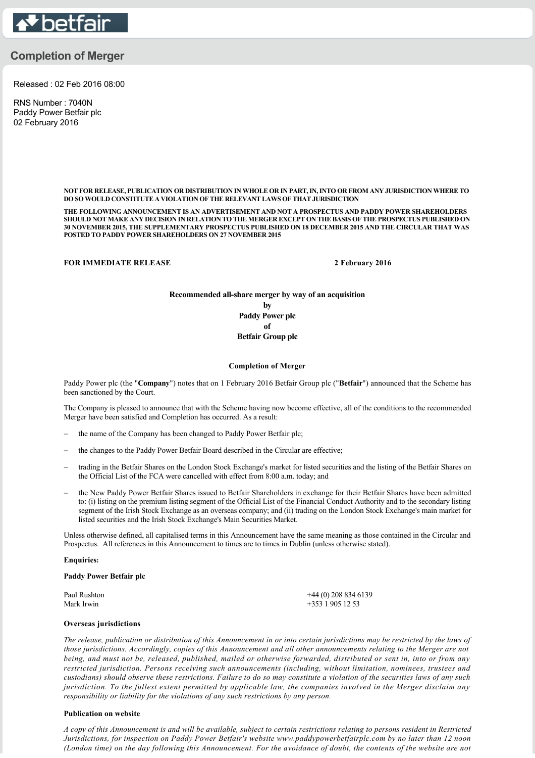

# **Completion of Merger**

Released : 02 Feb 2016 08:00

RNS Number : 7040N Paddy Power Betfair plc 02 February 2016

> **NOT FOR RELEASE, PUBLICATION OR DISTRIBUTION IN WHOLE OR IN PART, IN, INTO OR FROM ANY JURISDICTION WHERE TO DO SO WOULD CONSTITUTE A VIOLATION OF THE RELEVANT LAWS OF THAT JURISDICTION**

> **THE FOLLOWING ANNOUNCEMENT IS AN ADVERTISEMENT AND NOT A PROSPECTUS AND PADDY POWER SHAREHOLDERS SHOULD NOT MAKE ANY DECISION IN RELATION TO THE MERGER EXCEPT ON THE BASIS OF THE PROSPECTUS PUBLISHED ON 30 NOVEMBER 2015, THE SUPPLEMENTARY PROSPECTUS PUBLISHED ON 18 DECEMBER 2015 AND THE CIRCULAR THAT WAS POSTED TO PADDY POWER SHAREHOLDERS ON 27 NOVEMBER 2015**

**FOR IMMEDIATE RELEASE 2 February 2016** 

**Recommended allshare merger by way of an acquisition by Paddy Power plc of Betfair Group plc**

#### **Completion of Merger**

Paddy Power plc (the "**Company**") notes that on 1 February 2016 Betfair Group plc ("**Betfair**") announced that the Scheme has been sanctioned by the Court.

The Company is pleased to announce that with the Scheme having now become effective, all of the conditions to the recommended Merger have been satisfied and Completion has occurred. As a result:

- the name of the Company has been changed to Paddy Power Betfair plc;
- the changes to the Paddy Power Betfair Board described in the Circular are effective;
- trading in the Betfair Shares on the London Stock Exchange's market for listed securities and the listing of the Betfair Shares on the Official List of the FCA were cancelled with effect from 8:00 a.m. today; and
- the New Paddy Power Betfair Shares issued to Betfair Shareholders in exchange for their Betfair Shares have been admitted to: (i) listing on the premium listing segment of the Official List of the Financial Conduct Authority and to the secondary listing segment of the Irish Stock Exchange as an overseas company; and (ii) trading on the London Stock Exchange's main market for listed securities and the Irish Stock Exchange's Main Securities Market.

Unless otherwise defined, all capitalised terms in this Announcement have the same meaning as those contained in the Circular and Prospectus. All references in this Announcement to times are to times in Dublin (unless otherwise stated).

#### **Enquiries:**

#### **Paddy Power Betfair plc**

| Paul Rushton | $+44(0)$ 208 834 6139 |
|--------------|-----------------------|
| Mark Irwin   | $+35319051253$        |

### **Overseas jurisdictions**

*The release, publication or distribution of this Announcement in or into certain jurisdictions may be restricted by the laws of those jurisdictions. Accordingly, copies of this Announcement and all other announcements relating to the Merger are not being, and must not be, released, published, mailed or otherwise forwarded, distributed or sent in, into or from any restricted jurisdiction. Persons receiving such announcements (including, without limitation, nominees, trustees and custodians) should observe these restrictions. Failure to do so may constitute a violation of the securities laws of any such jurisdiction. To the fullest extent permitted by applicable law, the companies involved in the Merger disclaim any responsibility or liability for the violations of any such restrictions by any person.*

## **Publication on website**

*A copy of this Announcement is and will be available, subject to certain restrictions relating to persons resident in Restricted Jurisdictions, for inspection on Paddy Power Betfair's website www.paddypowerbetfairplc.com by no later than 12 noon (London time) on the day following this Announcement. For the avoidance of doubt, the contents of the website are not*